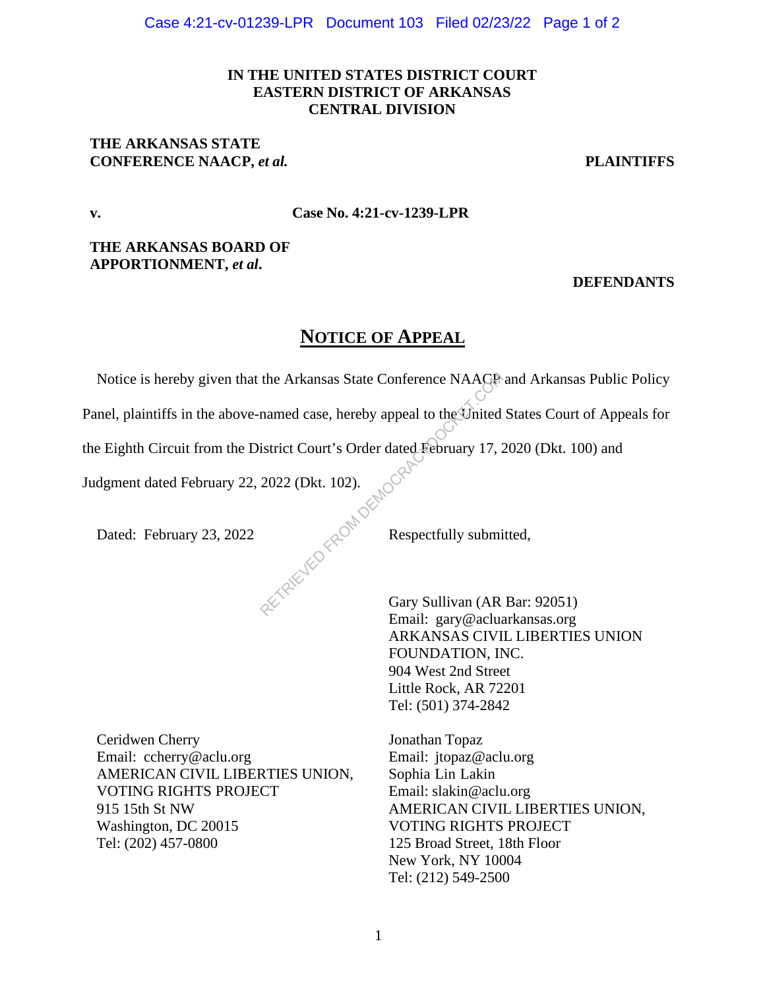## **IN THE UNITED STATES DISTRICT COURT EASTERN DISTRICT OF ARKANSAS CENTRAL DIVISION**

### **THE ARKANSAS STATE CONFERENCE NAACP,** *et al.* **PLAINTIFFS**

**v. Case No. 4:21-cv-1239-LPR**

**THE ARKANSAS BOARD OF APPORTIONMENT,** *et al***.** 

### **DEFENDANTS**

# **NOTICE OF APPEAL**

Notice is hereby given that the Arkansas State Conference NAACP and Arkansas Public Policy the Arkansas State Conference NAACR<br>
named case, hereby appeal to the United<br>
istrict Court's Order dated February 17, 2<br>
2022 (Dkt. 102).<br>
Respectfully submi<br>
Respectfully submi<br>
Gary Sullivan (AR

Panel, plaintiffs in the above-named case, hereby appeal to the United States Court of Appeals for

the Eighth Circuit from the District Court's Order dated February 17, 2020 (Dkt. 100) and

Judgment dated February 22, 2022 (Dkt. 102).

Dated: February 23, 2022 Respectfully submitted,

Gary Sullivan (AR Bar: 92051) Email: gary@acluarkansas.org ARKANSAS CIVIL LIBERTIES UNION FOUNDATION, INC. 904 West 2nd Street Little Rock, AR 72201 Tel: (501) 374-2842

Ceridwen Cherry Email: ccherry@aclu.org AMERICAN CIVIL LIBERTIES UNION, VOTING RIGHTS PROJECT 915 15th St NW Washington, DC 20015 Tel: (202) 457-0800

Jonathan Topaz Email: jtopaz@aclu.org Sophia Lin Lakin Email: slakin@aclu.org AMERICAN CIVIL LIBERTIES UNION, VOTING RIGHTS PROJECT 125 Broad Street, 18th Floor New York, NY 10004 Tel: (212) 549-2500